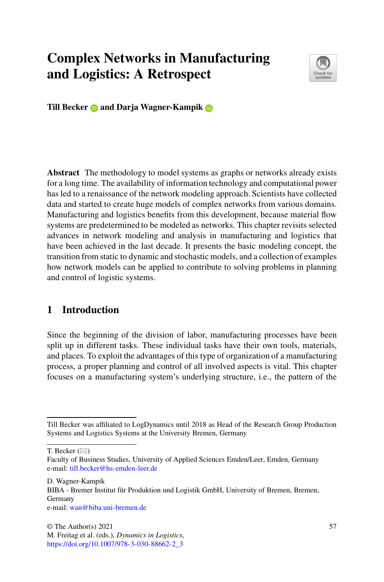# **Complex Networks in Manufacturing and Logistics: A Retrospect**



**Till Becker and Darja Wagner-Kampik**

**Abstract** The methodology to model systems as graphs or networks already exists for a long time. The availability of information technology and computational power has led to a renaissance of the network modeling approach. Scientists have collected data and started to create huge models of complex networks from various domains. Manufacturing and logistics benefits from this development, because material flow systems are predetermined to be modeled as networks. This chapter revisits selected advances in network modeling and analysis in manufacturing and logistics that have been achieved in the last decade. It presents the basic modeling concept, the transition from static to dynamic and stochastic models, and a collection of examples how network models can be applied to contribute to solving problems in planning and control of logistic systems.

# **1 Introduction**

Since the beginning of the division of labor, manufacturing processes have been split up in different tasks. These individual tasks have their own tools, materials, and places. To exploit the advantages of this type of organization of a manufacturing process, a proper planning and control of all involved aspects is vital. This chapter focuses on a manufacturing system's underlying structure, i.e., the pattern of the

T. Becker  $(\boxtimes)$ 

D. Wagner-Kampik BIBA - Bremer Institut für Produktion und Logistik GmbH, University of Bremen, Bremen, Germany e-mail: [wan@biba.uni-bremen.de](mailto:wan@biba.uni-bremen.de)

Till Becker was affiliated to LogDynamics until 2018 as Head of the Research Group Production Systems and Logistics Systems at the University Bremen, Germany

Faculty of Business Studies, University of Applied Sciences Emden/Leer, Emden, Germany e-mail: [till.becker@hs-emden-leer.de](mailto:till.becker@hs-emden-leer.de)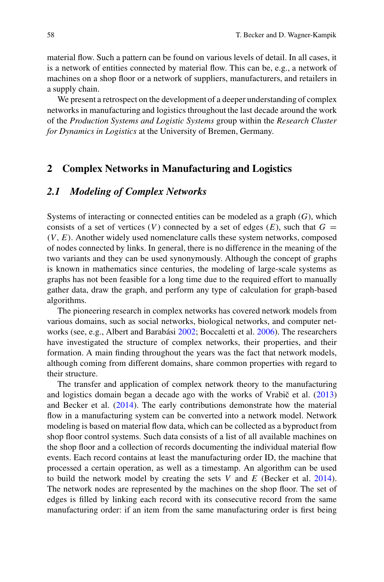material flow. Such a pattern can be found on various levels of detail. In all cases, it is a network of entities connected by material flow. This can be, e.g., a network of machines on a shop floor or a network of suppliers, manufacturers, and retailers in a supply chain.

We present a retrospect on the development of a deeper understanding of complex networks in manufacturing and logistics throughout the last decade around the work of the *Production Systems and Logistic Systems* group within the *Research Cluster for Dynamics in Logistics* at the University of Bremen, Germany.

#### **2 Complex Networks in Manufacturing and Logistics**

### <span id="page-1-0"></span>*2.1 Modeling of Complex Networks*

Systems of interacting or connected entities can be modeled as a graph (*G*), which consists of a set of vertices (*V*) connected by a set of edges (*E*), such that  $G =$ *(V , E)*. Another widely used nomenclature calls these system networks, composed of nodes connected by links. In general, there is no difference in the meaning of the two variants and they can be used synonymously. Although the concept of graphs is known in mathematics since centuries, the modeling of large-scale systems as graphs has not been feasible for a long time due to the required effort to manually gather data, draw the graph, and perform any type of calculation for graph-based algorithms.

The pioneering research in complex networks has covered network models from various domains, such as social networks, biological networks, and computer networks (see, e.g., Albert and Barabási [2002;](#page-11-0) Boccaletti et al. [2006\)](#page-11-1). The researchers have investigated the structure of complex networks, their properties, and their formation. A main finding throughout the years was the fact that network models, although coming from different domains, share common properties with regard to their structure.

The transfer and application of complex network theory to the manufacturing and logistics domain began a decade ago with the works of Vrabič et al.  $(2013)$  $(2013)$ and Becker et al. [\(2014\)](#page-11-2). The early contributions demonstrate how the material flow in a manufacturing system can be converted into a network model. Network modeling is based on material flow data, which can be collected as a byproduct from shop floor control systems. Such data consists of a list of all available machines on the shop floor and a collection of records documenting the individual material flow events. Each record contains at least the manufacturing order ID, the machine that processed a certain operation, as well as a timestamp. An algorithm can be used to build the network model by creating the sets *V* and *E* (Becker et al. [2014\)](#page-11-2). The network nodes are represented by the machines on the shop floor. The set of edges is filled by linking each record with its consecutive record from the same manufacturing order: if an item from the same manufacturing order is first being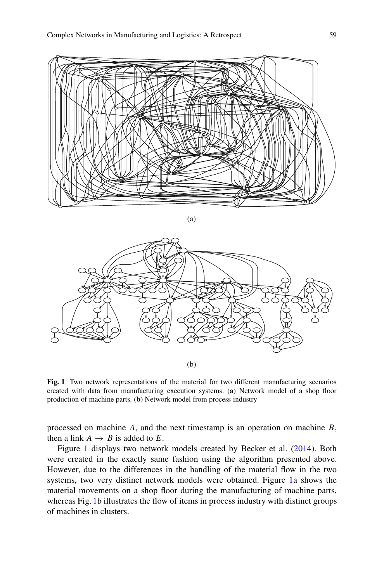

(a)



<span id="page-2-0"></span>**Fig. 1** Two network representations of the material for two different manufacturing scenarios created with data from manufacturing execution systems. (**a**) Network model of a shop floor production of machine parts. (**b**) Network model from process industry

processed on machine *A*, and the next timestamp is an operation on machine *B*, then a link  $A \rightarrow B$  is added to *E*.

Figure [1](#page-2-0) displays two network models created by Becker et al. [\(2014\)](#page-11-2). Both were created in the exactly same fashion using the algorithm presented above. However, due to the differences in the handling of the material flow in the two systems, two very distinct network models were obtained. Figure [1a](#page-2-0) shows the material movements on a shop floor during the manufacturing of machine parts, whereas Fig. [1b](#page-2-0) illustrates the flow of items in process industry with distinct groups of machines in clusters.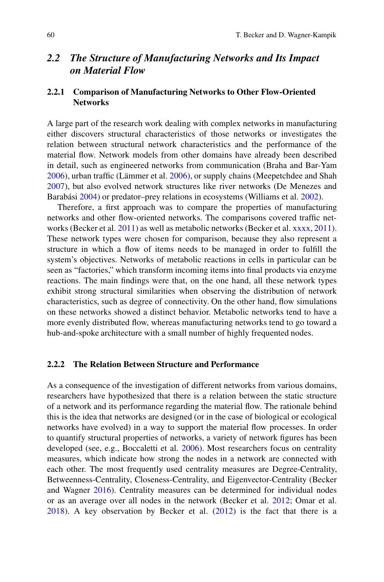# *2.2 The Structure of Manufacturing Networks and Its Impact on Material Flow*

#### **2.2.1 Comparison of Manufacturing Networks to Other Flow-Oriented Networks**

A large part of the research work dealing with complex networks in manufacturing either discovers structural characteristics of those networks or investigates the relation between structural network characteristics and the performance of the material flow. Network models from other domains have already been described in detail, such as engineered networks from communication (Braha and Bar-Yam [2006\)](#page-11-3), urban traffic (Lämmer et al. [2006\)](#page-12-1), or supply chains (Meepetchdee and Shah [2007\)](#page-12-2), but also evolved network structures like river networks (De Menezes and Barabási [2004\)](#page-11-4) or predator–prey relations in ecosystems (Williams et al. [2002\)](#page-12-3).

Therefore, a first approach was to compare the properties of manufacturing networks and other flow-oriented networks. The comparisons covered traffic networks (Becker et al. [2011\)](#page-11-5) as well as metabolic networks (Becker et al. [xxxx,](#page-11-6) [2011\)](#page-11-5). These network types were chosen for comparison, because they also represent a structure in which a flow of items needs to be managed in order to fulfill the system's objectives. Networks of metabolic reactions in cells in particular can be seen as "factories," which transform incoming items into final products via enzyme reactions. The main findings were that, on the one hand, all these network types exhibit strong structural similarities when observing the distribution of network characteristics, such as degree of connectivity. On the other hand, flow simulations on these networks showed a distinct behavior. Metabolic networks tend to have a more evenly distributed flow, whereas manufacturing networks tend to go toward a hub-and-spoke architecture with a small number of highly frequented nodes.

#### **2.2.2 The Relation Between Structure and Performance**

As a consequence of the investigation of different networks from various domains, researchers have hypothesized that there is a relation between the static structure of a network and its performance regarding the material flow. The rationale behind this is the idea that networks are designed (or in the case of biological or ecological networks have evolved) in a way to support the material flow processes. In order to quantify structural properties of networks, a variety of network figures has been developed (see, e.g., Boccaletti et al. [2006\)](#page-11-1). Most researchers focus on centrality measures, which indicate how strong the nodes in a network are connected with each other. The most frequently used centrality measures are Degree-Centrality, Betweenness-Centrality, Closeness-Centrality, and Eigenvector-Centrality (Becker and Wagner [2016\)](#page-11-7). Centrality measures can be determined for individual nodes or as an average over all nodes in the network (Becker et al. [2012;](#page-11-8) Omar et al. [2018\)](#page-12-4). A key observation by Becker et al. [\(2012\)](#page-11-8) is the fact that there is a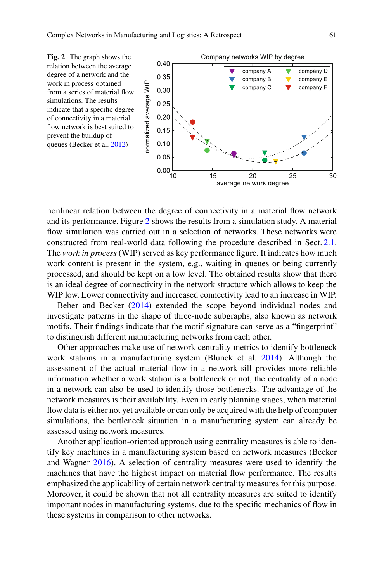<span id="page-4-0"></span>

nonlinear relation between the degree of connectivity in a material flow network and its performance. Figure [2](#page-4-0) shows the results from a simulation study. A material flow simulation was carried out in a selection of networks. These networks were constructed from real-world data following the procedure described in Sect. [2.1.](#page-1-0) The *work in process* (WIP) served as key performance figure. It indicates how much work content is present in the system, e.g., waiting in queues or being currently processed, and should be kept on a low level. The obtained results show that there is an ideal degree of connectivity in the network structure which allows to keep the WIP low. Lower connectivity and increased connectivity lead to an increase in WIP.

Beber and Becker [\(2014\)](#page-11-9) extended the scope beyond individual nodes and investigate patterns in the shape of three-node subgraphs, also known as network motifs. Their findings indicate that the motif signature can serve as a "fingerprint" to distinguish different manufacturing networks from each other.

Other approaches make use of network centrality metrics to identify bottleneck work stations in a manufacturing system (Blunck et al. [2014\)](#page-11-10). Although the assessment of the actual material flow in a network sill provides more reliable information whether a work station is a bottleneck or not, the centrality of a node in a network can also be used to identify those bottlenecks. The advantage of the network measures is their availability. Even in early planning stages, when material flow data is either not yet available or can only be acquired with the help of computer simulations, the bottleneck situation in a manufacturing system can already be assessed using network measures.

Another application-oriented approach using centrality measures is able to identify key machines in a manufacturing system based on network measures (Becker and Wagner [2016\)](#page-11-7). A selection of centrality measures were used to identify the machines that have the highest impact on material flow performance. The results emphasized the applicability of certain network centrality measures for this purpose. Moreover, it could be shown that not all centrality measures are suited to identify important nodes in manufacturing systems, due to the specific mechanics of flow in these systems in comparison to other networks.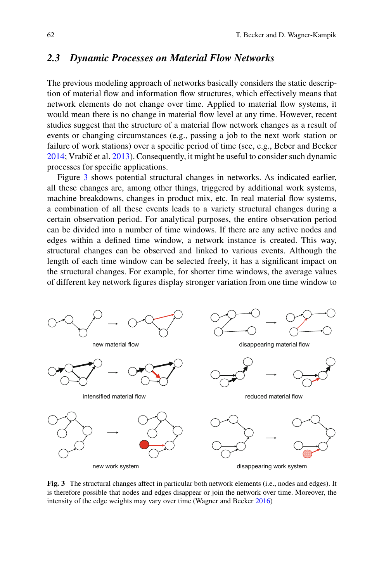#### <span id="page-5-1"></span>*2.3 Dynamic Processes on Material Flow Networks*

The previous modeling approach of networks basically considers the static description of material flow and information flow structures, which effectively means that network elements do not change over time. Applied to material flow systems, it would mean there is no change in material flow level at any time. However, recent studies suggest that the structure of a material flow network changes as a result of events or changing circumstances (e.g., passing a job to the next work station or failure of work stations) over a specific period of time (see, e.g., Beber and Becker  $2014$ ; Vrabič et al.  $2013$ ). Consequently, it might be useful to consider such dynamic processes for specific applications.

Figure [3](#page-5-0) shows potential structural changes in networks. As indicated earlier, all these changes are, among other things, triggered by additional work systems, machine breakdowns, changes in product mix, etc. In real material flow systems, a combination of all these events leads to a variety structural changes during a certain observation period. For analytical purposes, the entire observation period can be divided into a number of time windows. If there are any active nodes and edges within a defined time window, a network instance is created. This way, structural changes can be observed and linked to various events. Although the length of each time window can be selected freely, it has a significant impact on the structural changes. For example, for shorter time windows, the average values of different key network figures display stronger variation from one time window to



<span id="page-5-0"></span>**Fig. 3** The structural changes affect in particular both network elements (i.e., nodes and edges). It is therefore possible that nodes and edges disappear or join the network over time. Moreover, the intensity of the edge weights may vary over time (Wagner and Becker [2016\)](#page-12-5)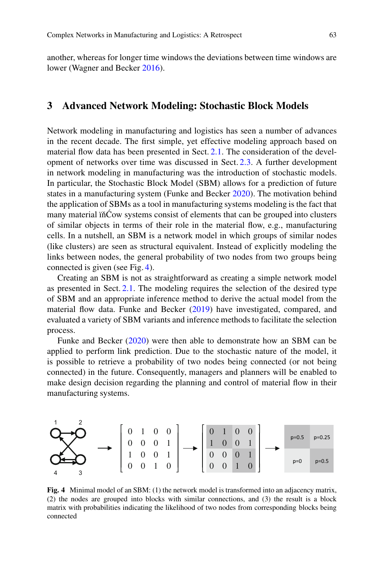another, whereas for longer time windows the deviations between time windows are lower (Wagner and Becker [2016\)](#page-12-5).

#### **3 Advanced Network Modeling: Stochastic Block Models**

Network modeling in manufacturing and logistics has seen a number of advances in the recent decade. The first simple, yet effective modeling approach based on material flow data has been presented in Sect. [2.1.](#page-1-0) The consideration of the development of networks over time was discussed in Sect. [2.3.](#page-5-1) A further development in network modeling in manufacturing was the introduction of stochastic models. In particular, the Stochastic Block Model (SBM) allows for a prediction of future states in a manufacturing system (Funke and Becker [2020\)](#page-12-6). The motivation behind the application of SBMs as a tool in manufacturing systems modeling is the fact that many material in<sup>cow</sup> systems consist of elements that can be grouped into clusters of similar objects in terms of their role in the material flow, e.g., manufacturing cells. In a nutshell, an SBM is a network model in which groups of similar nodes (like clusters) are seen as structural equivalent. Instead of explicitly modeling the links between nodes, the general probability of two nodes from two groups being connected is given (see Fig. [4\)](#page-6-0).

Creating an SBM is not as straightforward as creating a simple network model as presented in Sect. [2.1.](#page-1-0) The modeling requires the selection of the desired type of SBM and an appropriate inference method to derive the actual model from the material flow data. Funke and Becker [\(2019\)](#page-11-11) have investigated, compared, and evaluated a variety of SBM variants and inference methods to facilitate the selection process.

Funke and Becker [\(2020\)](#page-12-6) were then able to demonstrate how an SBM can be applied to perform link prediction. Due to the stochastic nature of the model, it is possible to retrieve a probability of two nodes being connected (or not being connected) in the future. Consequently, managers and planners will be enabled to make design decision regarding the planning and control of material flow in their manufacturing systems.



<span id="page-6-0"></span>**Fig. 4** Minimal model of an SBM: (1) the network model is transformed into an adjacency matrix, (2) the nodes are grouped into blocks with similar connections, and (3) the result is a block matrix with probabilities indicating the likelihood of two nodes from corresponding blocks being connected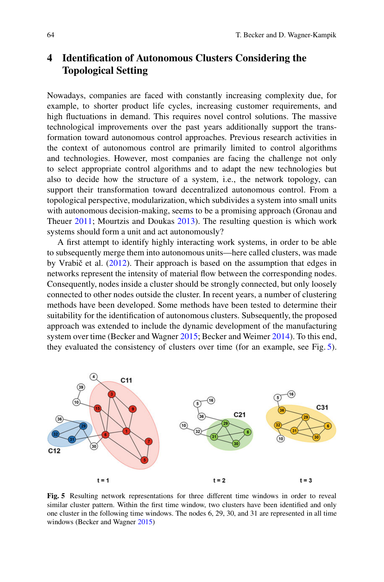# **4 Identification of Autonomous Clusters Considering the Topological Setting**

Nowadays, companies are faced with constantly increasing complexity due, for example, to shorter product life cycles, increasing customer requirements, and high fluctuations in demand. This requires novel control solutions. The massive technological improvements over the past years additionally support the transformation toward autonomous control approaches. Previous research activities in the context of autonomous control are primarily limited to control algorithms and technologies. However, most companies are facing the challenge not only to select appropriate control algorithms and to adapt the new technologies but also to decide how the structure of a system, i.e., the network topology, can support their transformation toward decentralized autonomous control. From a topological perspective, modularization, which subdivides a system into small units with autonomous decision-making, seems to be a promising approach (Gronau and Theuer [2011;](#page-12-7) Mourtzis and Doukas [2013\)](#page-12-8). The resulting question is which work systems should form a unit and act autonomously?

A first attempt to identify highly interacting work systems, in order to be able to subsequently merge them into autonomous units—here called clusters, was made by Vrabič et al.  $(2012)$  $(2012)$ . Their approach is based on the assumption that edges in networks represent the intensity of material flow between the corresponding nodes. Consequently, nodes inside a cluster should be strongly connected, but only loosely connected to other nodes outside the cluster. In recent years, a number of clustering methods have been developed. Some methods have been tested to determine their suitability for the identification of autonomous clusters. Subsequently, the proposed approach was extended to include the dynamic development of the manufacturing system over time (Becker and Wagner [2015;](#page-11-12) Becker and Weimer [2014\)](#page-11-13). To this end, they evaluated the consistency of clusters over time (for an example, see Fig. [5\)](#page-7-0).



<span id="page-7-0"></span>**Fig. 5** Resulting network representations for three different time windows in order to reveal similar cluster pattern. Within the first time window, two clusters have been identified and only one cluster in the following time windows. The nodes 6, 29, 30, and 31 are represented in all time windows (Becker and Wagner [2015\)](#page-11-12)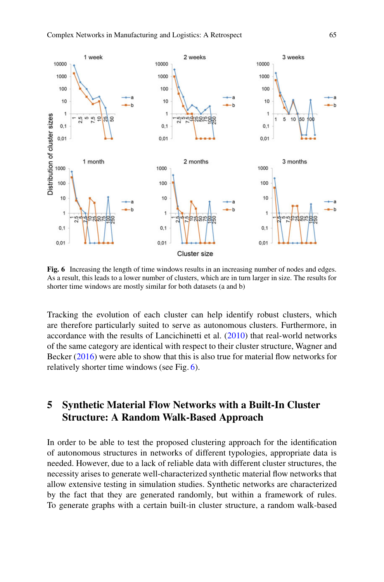

<span id="page-8-0"></span>**Fig. 6** Increasing the length of time windows results in an increasing number of nodes and edges. As a result, this leads to a lower number of clusters, which are in turn larger in size. The results for shorter time windows are mostly similar for both datasets (a and b)

Tracking the evolution of each cluster can help identify robust clusters, which are therefore particularly suited to serve as autonomous clusters. Furthermore, in accordance with the results of Lancichinetti et al.  $(2010)$  that real-world networks of the same category are identical with respect to their cluster structure, Wagner and Becker [\(2016\)](#page-12-5) were able to show that this is also true for material flow networks for relatively shorter time windows (see Fig. [6\)](#page-8-0).

# **5 Synthetic Material Flow Networks with a Built-In Cluster Structure: A Random Walk-Based Approach**

In order to be able to test the proposed clustering approach for the identification of autonomous structures in networks of different typologies, appropriate data is needed. However, due to a lack of reliable data with different cluster structures, the necessity arises to generate well-characterized synthetic material flow networks that allow extensive testing in simulation studies. Synthetic networks are characterized by the fact that they are generated randomly, but within a framework of rules. To generate graphs with a certain built-in cluster structure, a random walk-based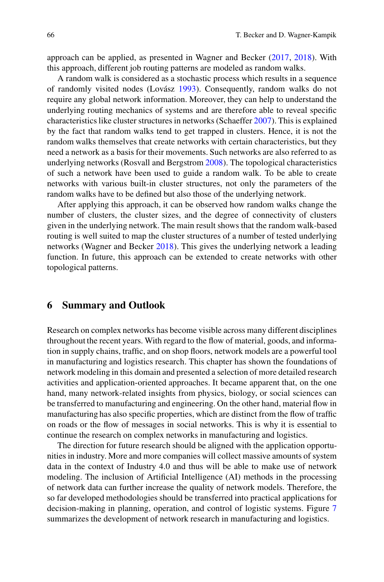approach can be applied, as presented in Wagner and Becker [\(2017,](#page-12-11) [2018\)](#page-12-12). With this approach, different job routing patterns are modeled as random walks.

A random walk is considered as a stochastic process which results in a sequence of randomly visited nodes (Lovász [1993\)](#page-12-13). Consequently, random walks do not require any global network information. Moreover, they can help to understand the underlying routing mechanics of systems and are therefore able to reveal specific characteristics like cluster structures in networks (Schaeffer [2007\)](#page-12-14). This is explained by the fact that random walks tend to get trapped in clusters. Hence, it is not the random walks themselves that create networks with certain characteristics, but they need a network as a basis for their movements. Such networks are also referred to as underlying networks (Rosvall and Bergstrom [2008\)](#page-12-15). The topological characteristics of such a network have been used to guide a random walk. To be able to create networks with various built-in cluster structures, not only the parameters of the random walks have to be defined but also those of the underlying network.

After applying this approach, it can be observed how random walks change the number of clusters, the cluster sizes, and the degree of connectivity of clusters given in the underlying network. The main result shows that the random walk-based routing is well suited to map the cluster structures of a number of tested underlying networks (Wagner and Becker [2018\)](#page-12-12). This gives the underlying network a leading function. In future, this approach can be extended to create networks with other topological patterns.

#### **6 Summary and Outlook**

Research on complex networks has become visible across many different disciplines throughout the recent years. With regard to the flow of material, goods, and information in supply chains, traffic, and on shop floors, network models are a powerful tool in manufacturing and logistics research. This chapter has shown the foundations of network modeling in this domain and presented a selection of more detailed research activities and application-oriented approaches. It became apparent that, on the one hand, many network-related insights from physics, biology, or social sciences can be transferred to manufacturing and engineering. On the other hand, material flow in manufacturing has also specific properties, which are distinct from the flow of traffic on roads or the flow of messages in social networks. This is why it is essential to continue the research on complex networks in manufacturing and logistics.

The direction for future research should be aligned with the application opportunities in industry. More and more companies will collect massive amounts of system data in the context of Industry 4.0 and thus will be able to make use of network modeling. The inclusion of Artificial Intelligence (AI) methods in the processing of network data can further increase the quality of network models. Therefore, the so far developed methodologies should be transferred into practical applications for decision-making in planning, operation, and control of logistic systems. Figure [7](#page-10-0) summarizes the development of network research in manufacturing and logistics.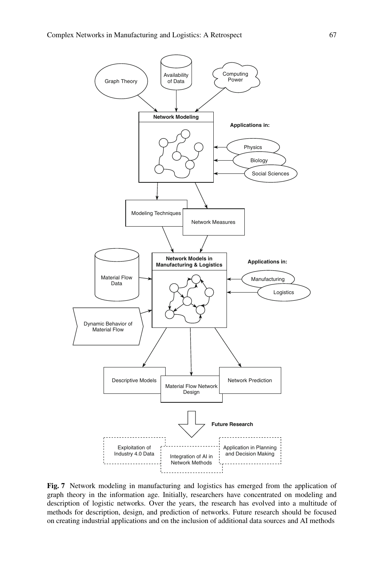

<span id="page-10-0"></span>**Fig. 7** Network modeling in manufacturing and logistics has emerged from the application of graph theory in the information age. Initially, researchers have concentrated on modeling and description of logistic networks. Over the years, the research has evolved into a multitude of methods for description, design, and prediction of networks. Future research should be focused on creating industrial applications and on the inclusion of additional data sources and AI methods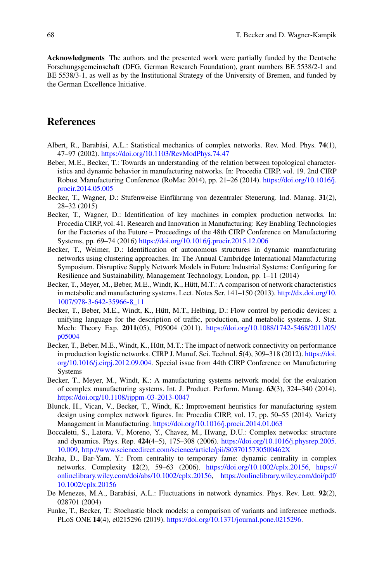**Acknowledgments** The authors and the presented work were partially funded by the Deutsche Forschungsgemeinschaft (DFG, German Research Foundation), grant numbers BE 5538/2-1 and BE 5538/3-1, as well as by the Institutional Strategy of the University of Bremen, and funded by the German Excellence Initiative.

#### **References**

- <span id="page-11-0"></span>Albert, R., Barabási, A.L.: Statistical mechanics of complex networks. Rev. Mod. Phys. **74**(1), 47–97 (2002). <https://doi.org/10.1103/RevModPhys.74.47>
- <span id="page-11-9"></span>Beber, M.E., Becker, T.: Towards an understanding of the relation between topological characteristics and dynamic behavior in manufacturing networks. In: Procedia CIRP, vol. 19. 2nd CIRP Robust Manufacturing Conference (RoMac 2014), pp. 21–26 (2014). [https://doi.org/10.1016/j.](https://doi.org/10.1016/j.procir.2014.05.005) [procir.2014.05.005](https://doi.org/10.1016/j.procir.2014.05.005)
- <span id="page-11-12"></span>Becker, T., Wagner, D.: Stufenweise Einführung von dezentraler Steuerung. Ind. Manag. **31**(2), 28–32 (2015)
- <span id="page-11-7"></span>Becker, T., Wagner, D.: Identification of key machines in complex production networks. In: Procedia CIRP, vol. 41. Research and Innovation in Manufacturing: Key Enabling Technologies for the Factories of the Future – Proceedings of the 48th CIRP Conference on Manufacturing Systems, pp. 69–74 (2016) <https://doi.org/10.1016/j.procir.2015.12.006>
- <span id="page-11-13"></span>Becker, T., Weimer, D.: Identification of autonomous structures in dynamic manufacturing networks using clustering approaches. In: The Annual Cambridge International Manufacturing Symposium. Disruptive Supply Network Models in Future Industrial Systems: Configuring for Resilience and Sustainability, Management Technology, London, pp. 1–11 (2014)
- <span id="page-11-6"></span>Becker, T., Meyer, M., Beber, M.E., Windt, K., Hütt, M.T.: A comparison of network characteristics in metabolic and manufacturing systems. Lect. Notes Ser. 141–150 (2013). [http://dx.doi.org/10.](http://dx.doi.org/10.1007/978-3-642-35966-8_11) [1007/978-3-642-35966-8\\_11](http://dx.doi.org/10.1007/978-3-642-35966-8_11)
- <span id="page-11-5"></span>Becker, T., Beber, M.E., Windt, K., Hütt, M.T., Helbing, D.: Flow control by periodic devices: a unifying language for the description of traffic, production, and metabolic systems. J. Stat. Mech: Theory Exp. **2011**(05), P05004 (2011). [https://doi.org/10.1088/1742-5468/2011/05/](https://doi.org/10.1088/1742-5468/2011/05/p05004) [p05004](https://doi.org/10.1088/1742-5468/2011/05/p05004)
- <span id="page-11-8"></span>Becker, T., Beber, M.E., Windt, K., Hütt, M.T.: The impact of network connectivity on performance in production logistic networks. CIRP J. Manuf. Sci. Technol. **5**(4), 309–318 (2012). [https://doi.](https://doi.org/10.1016/j.cirpj.2012.09.004) [org/10.1016/j.cirpj.2012.09.004.](https://doi.org/10.1016/j.cirpj.2012.09.004) Special issue from 44th CIRP Conference on Manufacturing Systems
- <span id="page-11-2"></span>Becker, T., Meyer, M., Windt, K.: A manufacturing systems network model for the evaluation of complex manufacturing systems. Int. J. Product. Perform. Manag. **63**(3), 324–340 (2014). <https://doi.org/10.1108/ijppm-03-2013-0047>
- <span id="page-11-10"></span>Blunck, H., Vican, V., Becker, T., Windt, K.: Improvement heuristics for manufacturing system design using complex network figures. In: Procedia CIRP, vol. 17, pp. 50–55 (2014). Variety Management in Manufacturing. <https://doi.org/10.1016/j.procir.2014.01.063>
- <span id="page-11-1"></span>Boccaletti, S., Latora, V., Moreno, Y., Chavez, M., Hwang, D.U.: Complex networks: structure and dynamics. Phys. Rep. **424**(4–5), 175–308 (2006). [https://doi.org/10.1016/j.physrep.2005.](https://doi.org/10.1016/j.physrep.2005.10.009) [10.009,](https://doi.org/10.1016/j.physrep.2005.10.009) <http://www.sciencedirect.com/science/article/pii/S037015730500462X>
- <span id="page-11-3"></span>Braha, D., Bar-Yam, Y.: From centrality to temporary fame: dynamic centrality in complex networks. Complexity **12**(2), 59–63 (2006). [https://doi.org/10.1002/cplx.20156,](https://doi.org/10.1002/cplx.20156) [https://](https://onlinelibrary.wiley.com/doi/abs/10.1002/cplx.20156) [onlinelibrary.wiley.com/doi/abs/10.1002/cplx.20156,](https://onlinelibrary.wiley.com/doi/abs/10.1002/cplx.20156) [https://onlinelibrary.wiley.com/doi/pdf/](https://onlinelibrary.wiley.com/doi/pdf/10.1002/cplx.20156) [10.1002/cplx.20156](https://onlinelibrary.wiley.com/doi/pdf/10.1002/cplx.20156)
- <span id="page-11-4"></span>De Menezes, M.A., Barabási, A.L.: Fluctuations in network dynamics. Phys. Rev. Lett. **92**(2), 028701 (2004)
- <span id="page-11-11"></span>Funke, T., Becker, T.: Stochastic block models: a comparison of variants and inference methods. PLoS ONE **14**(4), e0215296 (2019). [https://doi.org/10.1371/journal.pone.0215296.](https://doi.org/10.1371/journal.pone.0215296)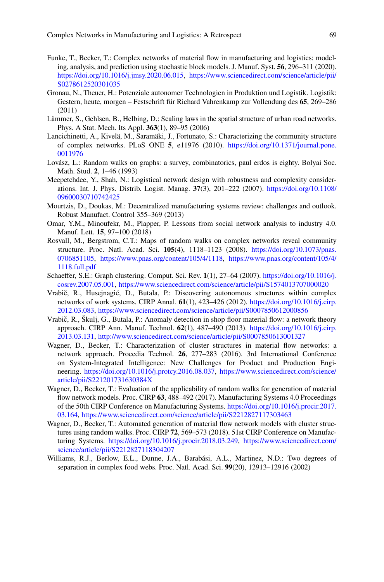- <span id="page-12-6"></span>Funke, T., Becker, T.: Complex networks of material flow in manufacturing and logistics: modeling, analysis, and prediction using stochastic block models. J. Manuf. Syst. **56**, 296–311 (2020). [https://doi.org/10.1016/j.jmsy.2020.06.015,](https://doi.org/10.1016/j.jmsy.2020.06.015) [https://www.sciencedirect.com/science/article/pii/](https://www.sciencedirect.com/science/article/pii/S0278612520301035) [S0278612520301035](https://www.sciencedirect.com/science/article/pii/S0278612520301035)
- <span id="page-12-7"></span>Gronau, N., Theuer, H.: Potenziale autonomer Technologien in Produktion und Logistik. Logistik: Gestern, heute, morgen – Festschrift für Richard Vahrenkamp zur Vollendung des **65**, 269–286 (2011)
- <span id="page-12-1"></span>Lämmer, S., Gehlsen, B., Helbing, D.: Scaling laws in the spatial structure of urban road networks. Phys. A Stat. Mech. Its Appl. **363**(1), 89–95 (2006)
- <span id="page-12-10"></span>Lancichinetti, A., Kivelä, M., Saramäki, J., Fortunato, S.: Characterizing the community structure of complex networks. PLoS ONE **5**, e11976 (2010). [https://doi.org/10.1371/journal.pone.](https://doi.org/10.1371/journal.pone.0011976) [0011976](https://doi.org/10.1371/journal.pone.0011976)
- <span id="page-12-13"></span>Lovász, L.: Random walks on graphs: a survey, combinatorics, paul erdos is eighty. Bolyai Soc. Math. Stud. **2**, 1–46 (1993)
- <span id="page-12-2"></span>Meepetchdee, Y., Shah, N.: Logistical network design with robustness and complexity considerations. Int. J. Phys. Distrib. Logist. Manag. **37**(3), 201–222 (2007). [https://doi.org/10.1108/](https://doi.org/10.1108/09600030710742425) [09600030710742425](https://doi.org/10.1108/09600030710742425)
- <span id="page-12-8"></span>Mourtzis, D., Doukas, M.: Decentralized manufacturing systems review: challenges and outlook. Robust Manufact. Control 355–369 (2013)
- <span id="page-12-4"></span>Omar, Y.M., Minoufekr, M., Plapper, P. Lessons from social network analysis to industry 4.0. Manuf. Lett. **15**, 97–100 (2018)
- <span id="page-12-15"></span>Rosvall, M., Bergstrom, C.T.: Maps of random walks on complex networks reveal community structure. Proc. Natl. Acad. Sci. **105**(4), 1118–1123 (2008). [https://doi.org/10.1073/pnas.](https://doi.org/10.1073/pnas.0706851105) [0706851105,](https://doi.org/10.1073/pnas.0706851105) [https://www.pnas.org/content/105/4/1118,](https://www.pnas.org/content/105/4/1118) [https://www.pnas.org/content/105/4/](https://www.pnas.org/content/105/4/1118.full.pdf) [1118.full.pdf](https://www.pnas.org/content/105/4/1118.full.pdf)
- <span id="page-12-14"></span>Schaeffer, S.E.: Graph clustering. Comput. Sci. Rev. **1**(1), 27–64 (2007). [https://doi.org/10.1016/j.](https://doi.org/10.1016/j.cosrev.2007.05.001) [cosrev.2007.05.001,](https://doi.org/10.1016/j.cosrev.2007.05.001) <https://www.sciencedirect.com/science/article/pii/S1574013707000020>
- <span id="page-12-9"></span>Vrabič, R., Husejnagić, D., Butala, P.: Discovering autonomous structures within complex networks of work systems. CIRP Annal. **61**(1), 423–426 (2012). [https://doi.org/10.1016/j.cirp.](https://doi.org/10.1016/j.cirp.2012.03.083) [2012.03.083,](https://doi.org/10.1016/j.cirp.2012.03.083) <https://www.sciencedirect.com/science/article/pii/S0007850612000856>
- <span id="page-12-0"></span>Vrabič, R., Škulj, G., Butala, P.: Anomaly detection in shop floor material flow: a network theory approach. CIRP Ann. Manuf. Technol. **62**(1), 487–490 (2013). [https://doi.org/10.1016/j.cirp.](https://doi.org/10.1016/j.cirp.2013.03.131) [2013.03.131,](https://doi.org/10.1016/j.cirp.2013.03.131) <http://www.sciencedirect.com/science/article/pii/S0007850613001327>
- <span id="page-12-5"></span>Wagner, D., Becker, T.: Characterization of cluster structures in material flow networks: a network approach. Procedia Technol. **26**, 277–283 (2016). 3rd International Conference on System-Integrated Intelligence: New Challenges for Product and Production Engineering. [https://doi.org/10.1016/j.protcy.2016.08.037,](https://doi.org/10.1016/j.protcy.2016.08.037) [https://www.sciencedirect.com/science/](https://www.sciencedirect.com/science/article/pii/S221201731630384X) [article/pii/S221201731630384X](https://www.sciencedirect.com/science/article/pii/S221201731630384X)
- <span id="page-12-11"></span>Wagner, D., Becker, T.: Evaluation of the applicability of random walks for generation of material flow network models. Proc. CIRP **63**, 488–492 (2017). Manufacturing Systems 4.0 Proceedings of the 50th CIRP Conference on Manufacturing Systems. [https://doi.org/10.1016/j.procir.2017.](https://doi.org/10.1016/j.procir.2017.03.164) [03.164,](https://doi.org/10.1016/j.procir.2017.03.164) <https://www.sciencedirect.com/science/article/pii/S2212827117303463>
- <span id="page-12-12"></span>Wagner, D., Becker, T.: Automated generation of material flow network models with cluster structures using random walks. Proc. CIRP **72**, 569–573 (2018). 51st CIRP Conference on Manufacturing Systems. [https://doi.org/10.1016/j.procir.2018.03.249,](https://doi.org/10.1016/j.procir.2018.03.249) [https://www.sciencedirect.com/](https://www.sciencedirect.com/science/article/pii/S2212827118304207) [science/article/pii/S2212827118304207](https://www.sciencedirect.com/science/article/pii/S2212827118304207)
- <span id="page-12-3"></span>Williams, R.J., Berlow, E.L., Dunne, J.A., Barabási, A.L., Martinez, N.D.: Two degrees of separation in complex food webs. Proc. Natl. Acad. Sci. **99**(20), 12913–12916 (2002)